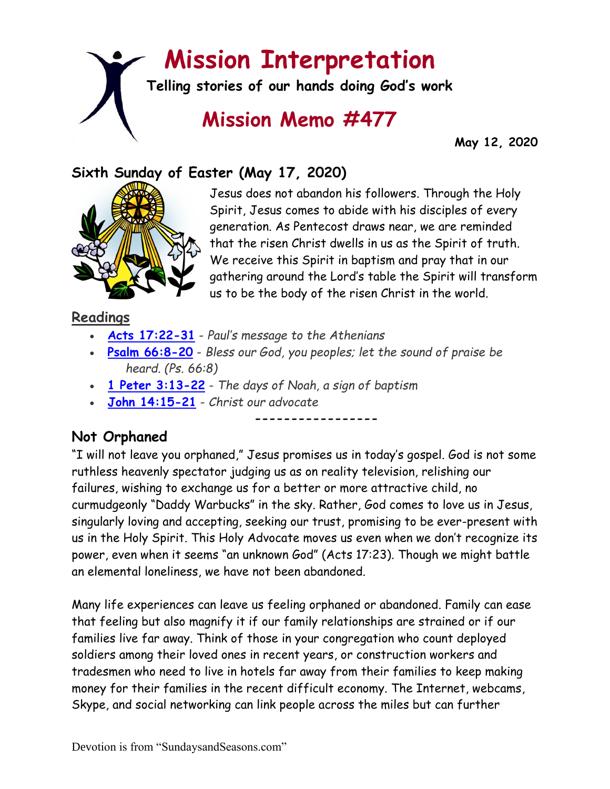# **Mission Interpretation**

**Telling stories of our hands doing God's work**

## **Mission Memo #477**

 **May 12, 2020**

### **Sixth Sunday of Easter (May 17, 2020)**



Jesus does not abandon his followers. Through the Holy Spirit, Jesus comes to abide with his disciples of every generation. As Pentecost draws near, we are reminded that the risen Christ dwells in us as the Spirit of truth. We receive this Spirit in baptism and pray that in our gathering around the Lord's table the Spirit will transform us to be the body of the risen Christ in the world.

#### **Readings**

- **[Acts 17:22-31](https://members.sundaysandseasons.com/)** *Paul's message to the Athenians*
- **[Psalm 66:8-20](https://members.sundaysandseasons.com/)** *Bless our God, you peoples; let the sound of praise be heard. (Ps. 66:8)*
- **[1 Peter 3:13-22](https://members.sundaysandseasons.com/)** *The days of Noah, a sign of baptism*
- **[John 14:15-21](https://members.sundaysandseasons.com/)** *Christ our advocate*

#### **Not Orphaned**

"I will not leave you orphaned," Jesus promises us in today's gospel. God is not some ruthless heavenly spectator judging us as on reality television, relishing our failures, wishing to exchange us for a better or more attractive child, no curmudgeonly "Daddy Warbucks" in the sky. Rather, God comes to love us in Jesus, singularly loving and accepting, seeking our trust, promising to be ever-present with us in the Holy Spirit. This Holy Advocate moves us even when we don't recognize its power, even when it seems "an unknown God" (Acts 17:23). Though we might battle an elemental loneliness, we have not been abandoned.

**-----------------**

Many life experiences can leave us feeling orphaned or abandoned. Family can ease that feeling but also magnify it if our family relationships are strained or if our families live far away. Think of those in your congregation who count deployed soldiers among their loved ones in recent years, or construction workers and tradesmen who need to live in hotels far away from their families to keep making money for their families in the recent difficult economy. The Internet, webcams, Skype, and social networking can link people across the miles but can further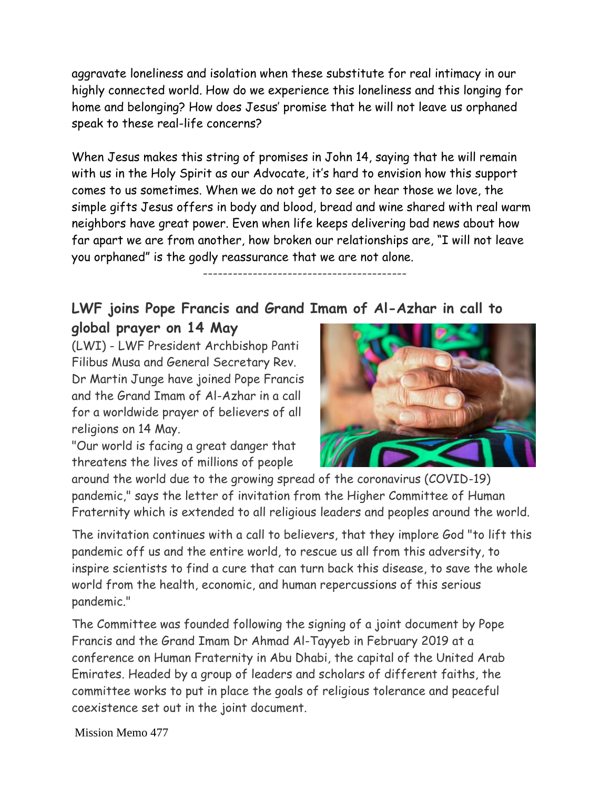aggravate loneliness and isolation when these substitute for real intimacy in our highly connected world. How do we experience this loneliness and this longing for home and belonging? How does Jesus' promise that he will not leave us orphaned speak to these real-life concerns?

When Jesus makes this string of promises in John 14, saying that he will remain with us in the Holy Spirit as our Advocate, it's hard to envision how this support comes to us sometimes. When we do not get to see or hear those we love, the simple gifts Jesus offers in body and blood, bread and wine shared with real warm neighbors have great power. Even when life keeps delivering bad news about how far apart we are from another, how broken our relationships are, "I will not leave you orphaned" is the godly reassurance that we are not alone.

-----------------------------------------

#### **LWF joins Pope Francis and Grand Imam of Al-Azhar in call to global prayer on 14 May**

(LWI) - LWF President Archbishop Panti Filibus Musa and General Secretary Rev. Dr Martin Junge have joined Pope Francis and the Grand Imam of Al-Azhar in a call for a worldwide prayer of believers of all religions on 14 May.

"Our world is facing a great danger that threatens the lives of millions of people



around the world due to the growing spread of the coronavirus (COVID-19) pandemic," says the letter of invitation from the Higher Committee of Human Fraternity which is extended to all religious leaders and peoples around the world.

The invitation continues with a call to believers, that they implore God "to lift this pandemic off us and the entire world, to rescue us all from this adversity, to inspire scientists to find a cure that can turn back this disease, to save the whole world from the health, economic, and human repercussions of this serious pandemic."

The Committee was founded following the signing of a joint document by Pope Francis and the Grand Imam Dr Ahmad Al-Tayyeb in February 2019 at a conference on Human Fraternity in Abu Dhabi, the capital of the United Arab Emirates. Headed by a group of leaders and scholars of different faiths, the committee works to put in place the goals of religious tolerance and peaceful coexistence set out in the joint document.

Mission Memo 477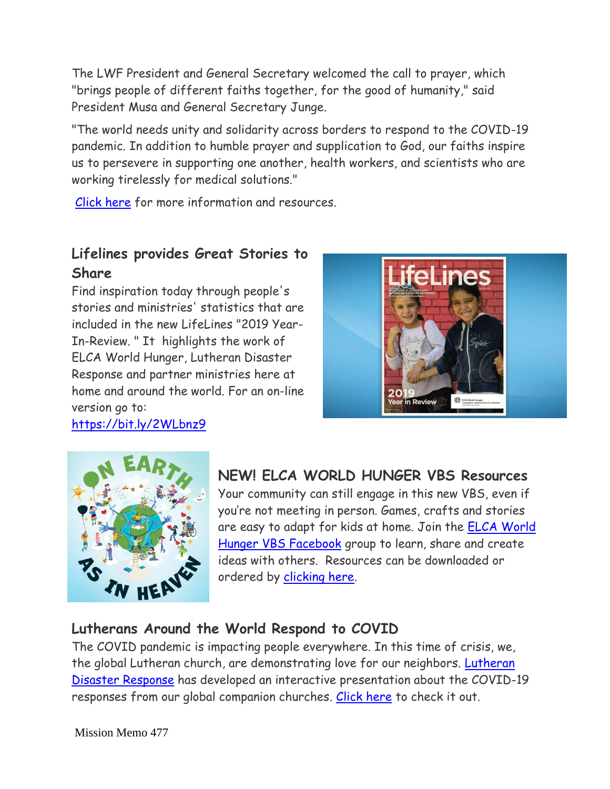The LWF President and General Secretary welcomed the call to prayer, which "brings people of different faiths together, for the good of humanity," said President Musa and General Secretary Junge.

"The world needs unity and solidarity across borders to respond to the COVID-19 pandemic. In addition to humble prayer and supplication to God, our faiths inspire us to persevere in supporting one another, health workers, and scientists who are working tirelessly for medical solutions."

[Click here](https://www.lutheranworld.org/news/covid-19-united-prayer-humanity?ct=t(EMAIL_CAMPAIGN_20190719_COPY_01)) for more information and resources.

#### **Lifelines provides Great Stories to Share**

Find inspiration today through people's stories and ministries' statistics that are included in the new LifeLines "2019 Year-In-Review. " It highlights the work of ELCA World Hunger, Lutheran Disaster Response and partner ministries here at home and around the world. For an on-line version go to:

[https://bit.ly/2WLbnz9](https://bit.ly/2WLbnz9?fbclid=IwAR2zItxtX2WV6ZfX5fHQPl5_7vBzCkBBBameyrfLmmqMFktMOI0aPwQQQMU)





**NEW! ELCA WORLD HUNGER VBS Resources**

Your community can still engage in this new VBS, even if you're not meeting in person. Games, crafts and stories are easy to adapt for kids at home. Join the [ELCA World](https://community.elca.org/page.redir?target=https%3a%2f%2fwww.facebook.com%2fgroups%2f471208453417716%2f&srcid=225975&srctid=1&erid=1f6f6743-2147-4576-8a24-61d411f5a475&trid=1f6f6743-2147-4576-8a24-61d411f5a475)  [Hunger VBS Facebook](https://community.elca.org/page.redir?target=https%3a%2f%2fwww.facebook.com%2fgroups%2f471208453417716%2f&srcid=225975&srctid=1&erid=1f6f6743-2147-4576-8a24-61d411f5a475&trid=1f6f6743-2147-4576-8a24-61d411f5a475) group to learn, share and create ideas with others. Resources can be downloaded or ordered by [clicking here.](https://community.elca.org/page.redir?target=https%3a%2f%2fwww.elca.org%2fResources%2fELCA-World-Hunger%23HungerEd&srcid=225975&srctid=1&erid=1f6f6743-2147-4576-8a24-61d411f5a475&trid=1f6f6743-2147-4576-8a24-61d411f5a475)

#### **Lutherans Around the World Respond to COVID**

The COVID pandemic is impacting people everywhere. In this time of crisis, we, the global Lutheran church, are demonstrating love for our neighbors. [Lutheran](https://www.facebook.com/ELCALDR/?__tn__=KH-R&eid=ARCC2zyYaWTKbpLQZ3FrgHLdV0ylSQ23naEkld1JT9ZSe7x_Wb3Hh7lBFiFpgOSCx7zdZgGrWMUYcgmk&fref=mentions&__xts__%5B0%5D=68.ARBRt0VNE0_ajejqt4oIQeMwqqGY9v_ndXv5UglxRz_iFMhZWPwra5wDs5cT-5y0RxttxsPHzZtJdgjFG_60ZnrolKIXow242vq1ZW_-6yF6jGk5LdlnTXGusFlI9p9_wyQsN12E940lqQWatQGUADxA2HVweyBORqoyg7Prd9V5mm-obRWKQ4bCzGXryZsMlErlZ2t8XP0smqcDdjjP2bZ-CkrRBzb9lUPFCUFsGA6srf031c3XVO2fhXNNobcVYjOHLykz4MnaR1h9KZlX0J1fznrf_8jOK3xD8ZnpDi7CSXjXCIiMhp05a_GlxD3vKo9Yrg4ZGPUD4odtNIiqdmhEMi0rW0XFiXM4X-k7D07m4mYCDUhdD0ZLptoTbLnLQ34Zf1DGFl46rzaT_aHAHANmlg3ffoCha-kiHNn19QXcPCeaSbHoGjzyTZtlr3N-ljFogQ7yLvmBKRAuJ8oZDhk1YymwPhEQ3_vw2Hz5jsfa)  [Disaster Response](https://www.facebook.com/ELCALDR/?__tn__=KH-R&eid=ARCC2zyYaWTKbpLQZ3FrgHLdV0ylSQ23naEkld1JT9ZSe7x_Wb3Hh7lBFiFpgOSCx7zdZgGrWMUYcgmk&fref=mentions&__xts__%5B0%5D=68.ARBRt0VNE0_ajejqt4oIQeMwqqGY9v_ndXv5UglxRz_iFMhZWPwra5wDs5cT-5y0RxttxsPHzZtJdgjFG_60ZnrolKIXow242vq1ZW_-6yF6jGk5LdlnTXGusFlI9p9_wyQsN12E940lqQWatQGUADxA2HVweyBORqoyg7Prd9V5mm-obRWKQ4bCzGXryZsMlErlZ2t8XP0smqcDdjjP2bZ-CkrRBzb9lUPFCUFsGA6srf031c3XVO2fhXNNobcVYjOHLykz4MnaR1h9KZlX0J1fznrf_8jOK3xD8ZnpDi7CSXjXCIiMhp05a_GlxD3vKo9Yrg4ZGPUD4odtNIiqdmhEMi0rW0XFiXM4X-k7D07m4mYCDUhdD0ZLptoTbLnLQ34Zf1DGFl46rzaT_aHAHANmlg3ffoCha-kiHNn19QXcPCeaSbHoGjzyTZtlr3N-ljFogQ7yLvmBKRAuJ8oZDhk1YymwPhEQ3_vw2Hz5jsfa) has developed an interactive presentation about the COVID-19 responses from our global companion churches. [Click here](https://prezi.com/view/nOnDsGToPUnfDvMmor8s/?fbclid=IwAR0mZHqzJT1v12_meWavEt78WYNubu4AJy0o7pm7rvzGcROcaQo28WbEWcY) to check it out.